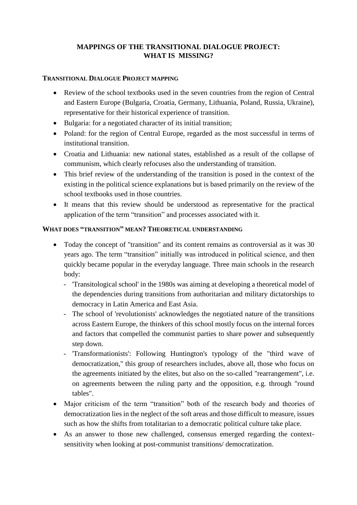# **MAPPINGS OF THE TRANSITIONAL DIALOGUE PROJECT: WHAT IS MISSING?**

### **TRANSITIONAL DIALOGUE PROJECT MAPPING**

- Review of the school textbooks used in the seven countries from the region of Central and Eastern Europe (Bulgaria, Croatia, Germany, Lithuania, Poland, Russia, Ukraine), representative for their historical experience of transition.
- Bulgaria: for a negotiated character of its initial transition;
- Poland: for the region of Central Europe, regarded as the most successful in terms of institutional transition.
- Croatia and Lithuania: new national states, established as a result of the collapse of communism, which clearly refocuses also the understanding of transition.
- This brief review of the understanding of the transition is posed in the context of the existing in the political science explanations but is based primarily on the review of the school textbooks used in those countries.
- It means that this review should be understood as representative for the practical application of the term "transition" and processes associated with it.

### **WHAT DOES "TRANSITION" MEAN? THEORETICAL UNDERSTANDING**

- Today the concept of "transition" and its content remains as controversial as it was 30 years ago. The term "transition" initially was introduced in political science, and then quickly became popular in the everyday language. Three main schools in the research body:
	- 'Transitological school' in the 1980s was aiming at developing a theoretical model of the dependencies during transitions from authoritarian and military dictatorships to democracy in Latin America and East Asia.
	- The school of 'revolutionists' acknowledges the negotiated nature of the transitions across Eastern Europe, the thinkers of this school mostly focus on the internal forces and factors that compelled the communist parties to share power and subsequently step down.
	- 'Transformationists': Following Huntington's typology of the "third wave of democratization," this group of researchers includes, above all, those who focus on the agreements initiated by the elites, but also on the so-called "rearrangement", i.e. on agreements between the ruling party and the opposition, e.g. through "round tables".
- Major criticism of the term "transition" both of the research body and theories of democratization lies in the neglect of the soft areas and those difficult to measure, issues such as how the shifts from totalitarian to a democratic political culture take place.
- As an answer to those new challenged, consensus emerged regarding the contextsensitivity when looking at post-communist transitions/ democratization.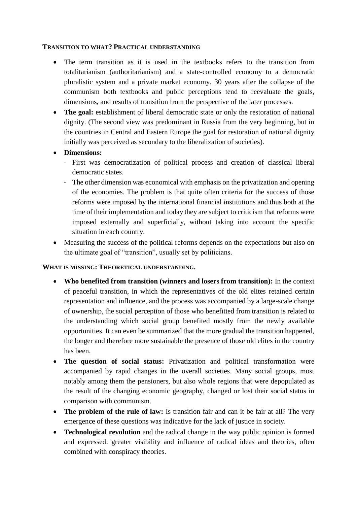#### **TRANSITION TO WHAT? PRACTICAL UNDERSTANDING**

- The term transition as it is used in the textbooks refers to the transition from totalitarianism (authoritarianism) and a state-controlled economy to a democratic pluralistic system and a private market economy. 30 years after the collapse of the communism both textbooks and public perceptions tend to reevaluate the goals, dimensions, and results of transition from the perspective of the later processes.
- **The goal:** establishment of liberal democratic state or only the restoration of national dignity. (The second view was predominant in Russia from the very beginning, but in the countries in Central and Eastern Europe the goal for restoration of national dignity initially was perceived as secondary to the liberalization of societies).
- **Dimensions:** 
	- First was democratization of political process and creation of classical liberal democratic states.
	- The other dimension was economical with emphasis on the privatization and opening of the economies. The problem is that quite often criteria for the success of those reforms were imposed by the international financial institutions and thus both at the time of their implementation and today they are subject to criticism that reforms were imposed externally and superficially, without taking into account the specific situation in each country.
- Measuring the success of the political reforms depends on the expectations but also on the ultimate goal of "transition", usually set by politicians.

#### **WHAT IS MISSING: THEORETICAL UNDERSTANDING.**

- **Who benefited from transition (winners and losers from transition):** In the context of peaceful transition, in which the representatives of the old elites retained certain representation and influence, and the process was accompanied by a large-scale change of ownership, the social perception of those who benefitted from transition is related to the understanding which social group benefited mostly from the newly available opportunities. It can even be summarized that the more gradual the transition happened, the longer and therefore more sustainable the presence of those old elites in the country has been.
- **The question of social status:** Privatization and political transformation were accompanied by rapid changes in the overall societies. Many social groups, most notably among them the pensioners, but also whole regions that were depopulated as the result of the changing economic geography, changed or lost their social status in comparison with communism.
- **The problem of the rule of law:** Is transition fair and can it be fair at all? The very emergence of these questions was indicative for the lack of justice in society.
- **Technological revolution** and the radical change in the way public opinion is formed and expressed: greater visibility and influence of radical ideas and theories, often combined with conspiracy theories.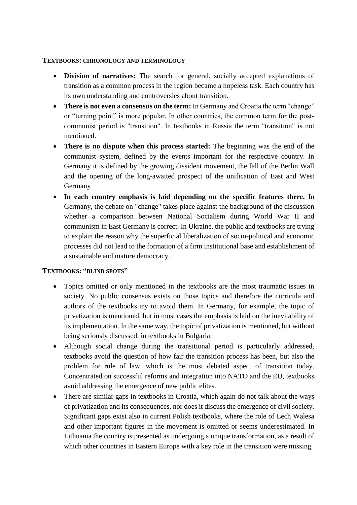#### **TEXTBOOKS: CHRONOLOGY AND TERMINOLOGY**

- **Division of narratives:** The search for general, socially accepted explanations of transition as a common process in the region became a hopeless task. Each country has its own understanding and controversies about transition.
- **There is not even a consensus on the term:** In Germany and Croatia the term "change" or "turning point" is more popular. In other countries, the common term for the postcommunist period is "transition". In textbooks in Russia the term "transition" is not mentioned.
- **There is no dispute when this process started:** The beginning was the end of the communist system, defined by the events important for the respective country. In Germany it is defined by the growing dissident movement, the fall of the Berlin Wall and the opening of the long-awaited prospect of the unification of East and West Germany
- **In each country emphasis is laid depending on the specific features there.** In Germany, the debate on "change" takes place against the background of the discussion whether a comparison between National Socialism during World War II and communism in East Germany is correct. In Ukraine, the public and textbooks are trying to explain the reason why the superficial liberalization of socio-political and economic processes did not lead to the formation of a firm institutional base and establishment of a sustainable and mature democracy.

## **TEXTBOOKS: "BLIND SPOTS"**

- Topics omitted or only mentioned in the textbooks are the most traumatic issues in society. No public consensus exists on those topics and therefore the curricula and authors of the textbooks try to avoid them. In Germany, for example, the topic of privatization is mentioned, but in most cases the emphasis is laid on the inevitability of its implementation. In the same way, the topic of privatization is mentioned, but without being seriously discussed, in textbooks in Bulgaria.
- Although social change during the transitional period is particularly addressed, textbooks avoid the question of how fair the transition process has been, but also the problem for rule of law, which is the most debated aspect of transition today. Concentrated on successful reforms and integration into NATO and the EU, textbooks avoid addressing the emergence of new public elites.
- There are similar gaps in textbooks in Croatia, which again do not talk about the ways of privatization and its consequences, nor does it discuss the emergence of civil society. Significant gaps exist also in current Polish textbooks, where the role of Lech Walesa and other important figures in the movement is omitted or seems underestimated. In Lithuania the country is presented as undergoing a unique transformation, as a result of which other countries in Eastern Europe with a key role in the transition were missing.